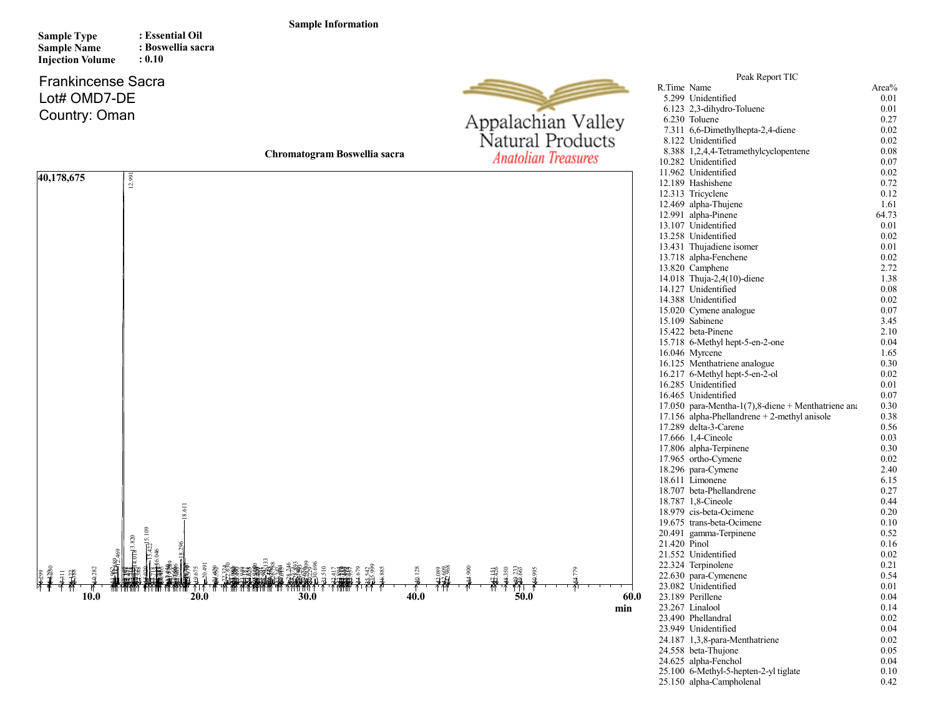## Sample Information

Sample Type

: Essential Oil

| <b>Sample Name</b><br><b>Injection Volume</b>              | : Boswellia sacra<br>: 0.10                        |                              |                                                |                                                                                                                                                                                                                                                                                                                                                                                                                                                                                                                                                                                                                                                                                                                                                                                                                                                                                                                                                                                                          |                                                                                                                                                                                                                                                                                                               |
|------------------------------------------------------------|----------------------------------------------------|------------------------------|------------------------------------------------|----------------------------------------------------------------------------------------------------------------------------------------------------------------------------------------------------------------------------------------------------------------------------------------------------------------------------------------------------------------------------------------------------------------------------------------------------------------------------------------------------------------------------------------------------------------------------------------------------------------------------------------------------------------------------------------------------------------------------------------------------------------------------------------------------------------------------------------------------------------------------------------------------------------------------------------------------------------------------------------------------------|---------------------------------------------------------------------------------------------------------------------------------------------------------------------------------------------------------------------------------------------------------------------------------------------------------------|
| <b>Frankincense Sacra</b><br>Lot# OMD7-DE<br>Country: Oman |                                                    |                              | Appalachian Valley                             | Peak Report TIC<br>R.Time Name<br>5.299 Unidentified<br>6.123 2,3-dihydro-Toluene<br>6.230 Toluene<br>7.311 6,6-Dimethylhepta-2,4-diene                                                                                                                                                                                                                                                                                                                                                                                                                                                                                                                                                                                                                                                                                                                                                                                                                                                                  | Area%<br>0.01<br>0.01<br>0.27<br>0.02                                                                                                                                                                                                                                                                         |
|                                                            |                                                    | Chromatogram Boswellia sacra | Natural Products<br><b>Anatolian Treasures</b> | 8.122 Unidentified<br>8.388 1,2,4,4-Tetramethylcyclopentene<br>10.282 Unidentified                                                                                                                                                                                                                                                                                                                                                                                                                                                                                                                                                                                                                                                                                                                                                                                                                                                                                                                       | 0.02<br>0.08<br>0.07                                                                                                                                                                                                                                                                                          |
| 40,178,675                                                 | 12.991<br>1981<br>$\sqrt{422}$ 5.109<br>1.0183.820 |                              |                                                | 11.962 Unidentified<br>12.189 Hashishene<br>12.313 Tricyclene<br>12.469 alpha-Thujene<br>12.991 alpha-Pinene<br>13.107 Unidentified<br>13.258 Unidentified<br>13.431 Thujadiene isomer<br>13.718 alpha-Fenchene<br>13.820 Camphene<br>14.018 Thuja-2,4(10)-diene<br>14.127 Unidentified<br>14.388 Unidentified<br>15.020 Cymene analogue<br>15.109 Sabinene<br>15.422 beta-Pinene<br>15.718 6-Methyl hept-5-en-2-one<br>16.046 Myrcene<br>16.125 Menthatriene analogue<br>16.217 6-Methyl hept-5-en-2-ol<br>16.285 Unidentified<br>16.465 Unidentified<br>17.050 para-Mentha-1(7),8-diene + Menthatriene and<br>17.156 alpha-Phellandrene $+$ 2-methyl anisole<br>17.289 delta-3-Carene<br>17.666 1,4-Cineole<br>17.806 alpha-Terpinene<br>17.965 ortho-Cymene<br>18.296 para-Cymene<br>18.611 Limonene<br>18.707 beta-Phellandrene<br>18.787 1,8-Cineole<br>18.979 cis-beta-Ocimene<br>19.675 trans-beta-Ocimene<br>20.491 gamma-Terpinene<br>21.420 Pinol<br>21.552 Unidentified<br>22.324 Terpinolene | 0.02<br>0.72<br>0.12<br>1.61<br>64.73<br>0.01<br>0.02<br>0.01<br>0.02<br>2.72<br>1.38<br>0.08<br>0.02<br>0.07<br>3.45<br>2.10<br>0.04<br>1.65<br>0.30<br>0.02<br>0.01<br>0.07<br>0.30<br>0.38<br>0.56<br>0.03<br>0.30<br>0.02<br>2.40<br>6.15<br>0.27<br>0.44<br>0.20<br>0.10<br>0.52<br>0.16<br>0.02<br>0.21 |
| <b>10.0</b>                                                | 20.0                                               | 40.0<br>30.0                 | 84.779<br>49.233<br>50.0                       | 22.630 para-Cymenene<br>23.082 Unidentified<br>60.0<br>23.189 Perillene<br>23.267 Linalool<br>min<br>23.490 Phellandral<br>23.949 Unidentified                                                                                                                                                                                                                                                                                                                                                                                                                                                                                                                                                                                                                                                                                                                                                                                                                                                           | 0.54<br>0.01<br>0.04<br>0.14<br>0.02<br>0.04                                                                                                                                                                                                                                                                  |
|                                                            |                                                    |                              |                                                | 24.187 1,3,8-para-Menthatriene                                                                                                                                                                                                                                                                                                                                                                                                                                                                                                                                                                                                                                                                                                                                                                                                                                                                                                                                                                           | 0.02                                                                                                                                                                                                                                                                                                          |

24.558 beta-Thujone 0.05 24.625 alpha-Fenchol 0.04 25.100 6-Methyl-5-hepten-2-yl tiglate 0.10 25.150 alpha-Campholenal 0.42